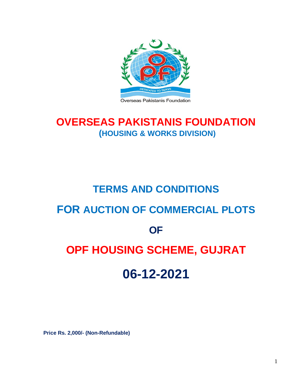

#### Overseas Pakistanis Foundation

# **OVERSEAS PAKISTANIS FOUNDATION (HOUSING & WORKS DIVISION)**

# **TERMS AND CONDITIONS FOR AUCTION OF COMMERCIAL PLOTS OF OPF HOUSING SCHEME, GUJRAT 06-12-2021**

**Price Rs. 2,000/- (Non-Refundable)**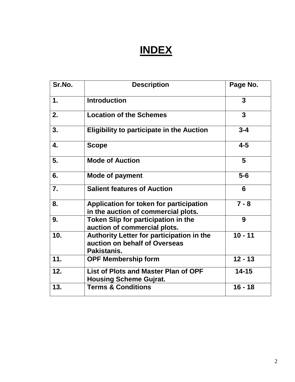# **INDEX**

| Sr.No.        | <b>Description</b>                                                                        | Page No.  |
|---------------|-------------------------------------------------------------------------------------------|-----------|
| $\mathbf 1$ . | <b>Introduction</b>                                                                       | 3         |
| 2.            | <b>Location of the Schemes</b>                                                            | 3         |
| 3.            | <b>Eligibility to participate in the Auction</b>                                          | $3 - 4$   |
| 4.            | <b>Scope</b>                                                                              | $4 - 5$   |
| 5.            | <b>Mode of Auction</b>                                                                    | 5         |
| 6.            | <b>Mode of payment</b>                                                                    | $5-6$     |
| 7.            | <b>Salient features of Auction</b>                                                        | 6         |
| 8.            | Application for token for participation<br>in the auction of commercial plots.            | $7 - 8$   |
| 9.            | Token Slip for participation in the<br>auction of commercial plots.                       | 9         |
| 10.           | Authority Letter for participation in the<br>auction on behalf of Overseas<br>Pakistanis. | $10 - 11$ |
| 11.           | <b>OPF Membership form</b>                                                                | $12 - 13$ |
| 12.           | <b>List of Plots and Master Plan of OPF</b><br><b>Housing Scheme Gujrat.</b>              | $14 - 15$ |
| 13.           | <b>Terms &amp; Conditions</b>                                                             | $16 - 18$ |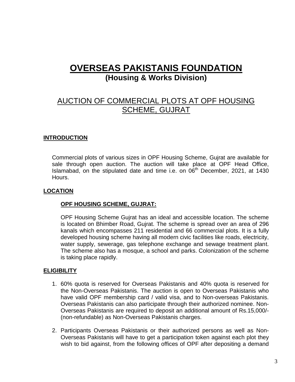# **OVERSEAS PAKISTANIS FOUNDATION (Housing & Works Division)**

# AUCTION OF COMMERCIAL PLOTS AT OPF HOUSING SCHEME, GUJRAT

# **INTRODUCTION**

Commercial plots of various sizes in OPF Housing Scheme, Gujrat are available for sale through open auction. The auction will take place at OPF Head Office, Islamabad, on the stipulated date and time i.e. on  $06<sup>th</sup>$  December, 2021, at 1430 Hours.

# **LOCATION**

# **OPF HOUSING SCHEME, GUJRAT:**

OPF Housing Scheme Gujrat has an ideal and accessible location. The scheme is located on Bhimber Road, Gujrat. The scheme is spread over an area of 296 kanals which encompasses 211 residential and 66 commercial plots. It is a fully developed housing scheme having all modern civic facilities like roads, electricity, water supply, sewerage, gas telephone exchange and sewage treatment plant. The scheme also has a mosque, a school and parks. Colonization of the scheme is taking place rapidly.

# **ELIGIBILITY**

- 1. 60% quota is reserved for Overseas Pakistanis and 40% quota is reserved for the Non-Overseas Pakistanis. The auction is open to Overseas Pakistanis who have valid OPF membership card / valid visa, and to Non-overseas Pakistanis. Overseas Pakistanis can also participate through their authorized nominee. Non-Overseas Pakistanis are required to deposit an additional amount of Rs.15,000/- (non-refundable) as Non-Overseas Pakistanis charges.
- 2. Participants Overseas Pakistanis or their authorized persons as well as Non-Overseas Pakistanis will have to get a participation token against each plot they wish to bid against, from the following offices of OPF after depositing a demand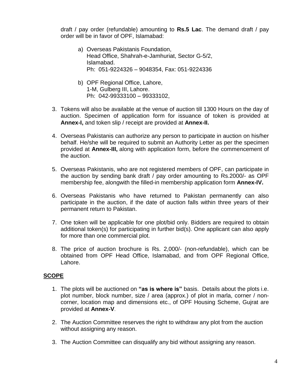draft / pay order (refundable) amounting to **Rs.5 Lac**. The demand draft / pay order will be in favor of OPF, Islamabad:

- a) Overseas Pakistanis Foundation, Head Office, Shahrah-e-Jamhuriat, Sector G-5/2, Islamabad. Ph: 051-9224326 – 9048354, Fax: 051-9224336
- b) OPF Regional Office, Lahore, 1-M, Gulberg III, Lahore. Ph: 042-99333100 – 99333102,
- 3. Tokens will also be available at the venue of auction till 1300 Hours on the day of auction. Specimen of application form for issuance of token is provided at **Annex-I,** and token slip / receipt are provided at **Annex-II.**
- 4. Overseas Pakistanis can authorize any person to participate in auction on his/her behalf. He/she will be required to submit an Authority Letter as per the specimen provided at **Annex-III,** along with application form, before the commencement of the auction.
- 5. Overseas Pakistanis, who are not registered members of OPF, can participate in the auction by sending bank draft / pay order amounting to Rs.2000/- as OPF membership fee, alongwith the filled-in membership application form **Annex-IV.**
- 6. Overseas Pakistanis who have returned to Pakistan permanently can also participate in the auction, if the date of auction falls within three years of their permanent return to Pakistan.
- 7. One token will be applicable for one plot/bid only. Bidders are required to obtain additional token(s) for participating in further bid(s). One applicant can also apply for more than one commercial plot.
- 8. The price of auction brochure is Rs. 2,000/- (non-refundable), which can be obtained from OPF Head Office, Islamabad, and from OPF Regional Office, Lahore.

# **SCOPE**

- 1. The plots will be auctioned on **"as is where is"** basis. Details about the plots i.e. plot number, block number, size / area (approx.) of plot in marla, corner / noncorner, location map and dimensions etc., of OPF Housing Scheme, Gujrat are provided at **Annex-V**.
- 2. The Auction Committee reserves the right to withdraw any plot from the auction without assigning any reason.
- 3. The Auction Committee can disqualify any bid without assigning any reason.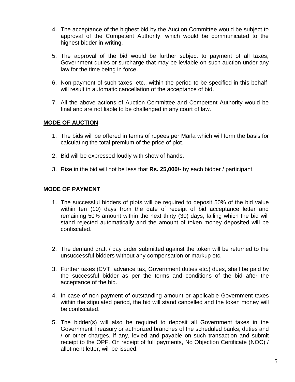- 4. The acceptance of the highest bid by the Auction Committee would be subject to approval of the Competent Authority, which would be communicated to the highest bidder in writing.
- 5. The approval of the bid would be further subject to payment of all taxes, Government duties or surcharge that may be leviable on such auction under any law for the time being in force.
- 6. Non-payment of such taxes, etc., within the period to be specified in this behalf, will result in automatic cancellation of the acceptance of bid.
- 7. All the above actions of Auction Committee and Competent Authority would be final and are not liable to be challenged in any court of law.

# **MODE OF AUCTION**

- 1. The bids will be offered in terms of rupees per Marla which will form the basis for calculating the total premium of the price of plot.
- 2. Bid will be expressed loudly with show of hands.
- 3. Rise in the bid will not be less that **Rs. 25,000/-** by each bidder / participant.

# **MODE OF PAYMENT**

- 1. The successful bidders of plots will be required to deposit 50% of the bid value within ten (10) days from the date of receipt of bid acceptance letter and remaining 50% amount within the next thirty (30) days, failing which the bid will stand rejected automatically and the amount of token money deposited will be confiscated.
- 2. The demand draft / pay order submitted against the token will be returned to the unsuccessful bidders without any compensation or markup etc.
- 3. Further taxes (CVT, advance tax, Government duties etc.) dues, shall be paid by the successful bidder as per the terms and conditions of the bid after the acceptance of the bid.
- 4. In case of non-payment of outstanding amount or applicable Government taxes within the stipulated period, the bid will stand cancelled and the token money will be confiscated.
- 5. The bidder(s) will also be required to deposit all Government taxes in the Government Treasury or authorized branches of the scheduled banks, duties and / or other charges, if any, levied and payable on such transaction and submit receipt to the OPF. On receipt of full payments, No Objection Certificate (NOC) / allotment letter, will be issued.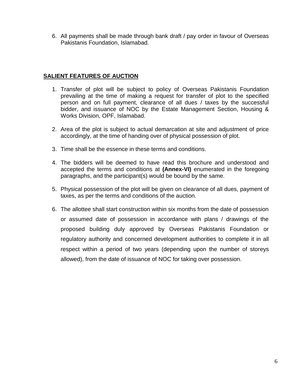6. All payments shall be made through bank draft / pay order in favour of Overseas Pakistanis Foundation, Islamabad.

# **SALIENT FEATURES OF AUCTION**

- 1. Transfer of plot will be subject to policy of Overseas Pakistanis Foundation prevailing at the time of making a request for transfer of plot to the specified person and on full payment, clearance of all dues / taxes by the successful bidder, and issuance of NOC by the Estate Management Section, Housing & Works Division, OPF, Islamabad.
- 2. Area of the plot is subject to actual demarcation at site and adjustment of price accordingly, at the time of handing over of physical possession of plot.
- 3. Time shall be the essence in these terms and conditions.
- 4. The bidders will be deemed to have read this brochure and understood and accepted the terms and conditions at **(Annex-VI)** enumerated in the foregoing paragraphs, and the participant(s) would be bound by the same.
- 5. Physical possession of the plot will be given on clearance of all dues, payment of taxes, as per the terms and conditions of the auction.
- 6. The allottee shall start construction within six months from the date of possession or assumed date of possession in accordance with plans / drawings of the proposed building duly approved by Overseas Pakistanis Foundation or regulatory authority and concerned development authorities to complete it in all respect within a period of two years (depending upon the number of storeys allowed), from the date of issuance of NOC for taking over possession.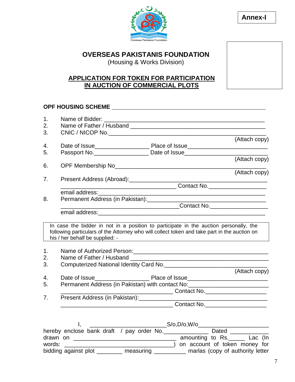

**Annex-I**

# **OVERSEAS PAKISTANIS FOUNDATION**

(Housing & Works Division)

# **APPLICATION FOR TOKEN FOR PARTICIPATION IN AUCTION OF COMMERCIAL PLOTS**

# **OPF HOUSING SCHEME \_\_\_\_\_\_\_\_\_\_\_\_\_\_\_\_\_\_\_\_\_\_\_\_\_\_\_\_\_\_\_\_\_\_\_\_\_\_\_\_\_**

| 1.<br>2. |                                               |                                                                                              |
|----------|-----------------------------------------------|----------------------------------------------------------------------------------------------|
| 3.       |                                               |                                                                                              |
|          |                                               | (Attach copy)                                                                                |
| 4.       |                                               |                                                                                              |
| 5.       |                                               | Passport No. _________________________ Date of Issue____________________________             |
|          |                                               | (Attach copy)                                                                                |
| 6.       |                                               |                                                                                              |
|          |                                               | (Attach copy)                                                                                |
| 7.       |                                               |                                                                                              |
|          |                                               |                                                                                              |
|          | email address:                                |                                                                                              |
| 8.       |                                               |                                                                                              |
|          |                                               |                                                                                              |
|          |                                               |                                                                                              |
|          |                                               | In case the bidder in not in a position to participate in the auction personally, the        |
|          |                                               | following particulars of the Attorney who will collect token and take part in the auction on |
|          | his / her behalf be supplied: -               |                                                                                              |
|          |                                               |                                                                                              |
| 1.       |                                               |                                                                                              |
| 2.       |                                               |                                                                                              |
| 3.       |                                               | Computerized National Identity Card No. Computer Computerized National Identity Card No.     |
|          |                                               | (Attach copy)                                                                                |
| 4.       |                                               |                                                                                              |
| 5.       |                                               | Permanent Address (in Pakistan) with contact No: _______________________________             |
| 7.       | Present Address (in Pakistan): ______________ |                                                                                              |
|          |                                               |                                                                                              |
|          |                                               |                                                                                              |
|          |                                               |                                                                                              |
|          | Ι.                                            |                                                                                              |
|          |                                               | hereby enclose bank draft / pay order No. ________________ Dated ______________              |
|          |                                               |                                                                                              |
| words:   |                                               | and account of token money for account of token money for                                    |

bidding against plot \_\_\_\_\_\_\_\_ measuring \_\_\_\_\_\_\_\_\_ marlas (copy of authority letter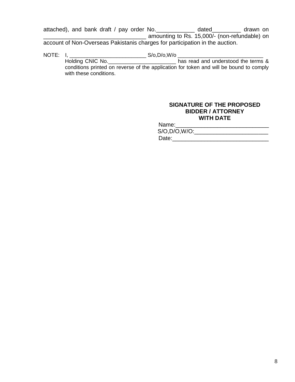attached), and bank draft / pay order No.\_\_\_\_\_\_\_\_\_\_\_\_ dated\_\_\_\_\_\_\_\_\_ drawn on amounting to Rs. 15,000/- (non-refundable) on account of Non-Overseas Pakistanis charges for participation in the auction.

NOTE: I, \_\_\_\_\_\_\_\_\_\_\_\_\_\_\_\_\_\_\_\_\_\_\_\_\_\_\_\_\_\_\_\_\_S/o,D/o,W/o \_\_\_\_\_\_\_\_\_\_\_\_\_\_\_\_\_\_\_\_\_\_\_\_\_\_ Holding CNIC No. \_\_\_\_\_\_\_\_\_\_\_\_\_\_\_\_\_\_\_\_\_\_\_\_\_\_\_\_ has read and understood the terms & conditions printed on reverse of the application for token and will be bound to comply with these conditions.

### **SIGNATURE OF THE PROPOSED BIDDER / ATTORNEY WITH DATE**

Name:\_\_\_\_\_\_\_\_\_\_\_\_\_\_\_\_\_\_\_\_\_\_\_\_\_\_\_\_\_  $S/O, D/O, W/O:$ Date:\_\_\_\_\_\_\_\_\_\_\_\_\_\_\_\_\_\_\_\_\_\_\_\_\_\_\_\_\_\_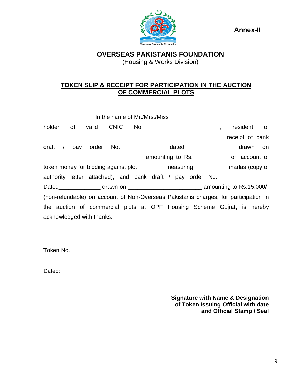**Annex-II**



**OVERSEAS PAKISTANIS FOUNDATION** (Housing & Works Division)

# **TOKEN SLIP & RECEIPT FOR PARTICIPATION IN THE AUCTION OF COMMERCIAL PLOTS**

|  |                           |  | holder of valid CNIC No. 1990 Moder 1991,                                            |                                                         |                 | resident of |  |
|--|---------------------------|--|--------------------------------------------------------------------------------------|---------------------------------------------------------|-----------------|-------------|--|
|  |                           |  |                                                                                      | <u> 2000 - Jan James James Barbara, politik eta pro</u> | receipt of bank |             |  |
|  |                           |  | draft / pay order No. 1980 Mo. 1990 Mated 2008 May drawn on                          |                                                         |                 |             |  |
|  |                           |  |                                                                                      |                                                         |                 |             |  |
|  |                           |  | token money for bidding against plot _________ measuring __________ marlas (copy of  |                                                         |                 |             |  |
|  |                           |  | authority letter attached), and bank draft / pay order No.                           |                                                         |                 |             |  |
|  |                           |  |                                                                                      |                                                         |                 |             |  |
|  |                           |  | (non-refundable) on account of Non-Overseas Pakistanis charges, for participation in |                                                         |                 |             |  |
|  |                           |  | the auction of commercial plots at OPF Housing Scheme Gujrat, is hereby              |                                                         |                 |             |  |
|  | acknowledged with thanks. |  |                                                                                      |                                                         |                 |             |  |

Token No.\_\_\_\_\_\_\_\_\_\_\_\_\_\_\_\_\_\_\_\_\_

Dated: \_\_\_\_\_\_\_\_\_\_\_\_\_\_\_\_\_\_\_\_\_\_\_\_

**Signature with Name & Designation of Token Issuing Official with date and Official Stamp / Seal**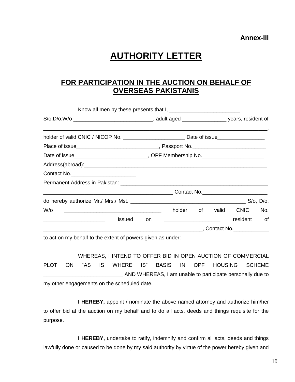# **AUTHORITY LETTER**

# **FOR PARTICIPATION IN THE AUCTION ON BEHALF OF OVERSEAS PAKISTANIS**

| Date of issue__________________________________, OPF Membership No._________________________________                                                                                                                           |    |  |                      |     |
|--------------------------------------------------------------------------------------------------------------------------------------------------------------------------------------------------------------------------------|----|--|----------------------|-----|
| Address(abroad): example and a series of the series of the series of the series of the series of the series of the series of the series of the series of the series of the series of the series of the series of the series of |    |  |                      |     |
| Contact No.                                                                                                                                                                                                                    |    |  |                      |     |
|                                                                                                                                                                                                                                |    |  |                      |     |
|                                                                                                                                                                                                                                |    |  |                      |     |
|                                                                                                                                                                                                                                |    |  |                      |     |
| W/o<br><u> 1990 - Johann Barbara, martin amerikan bashkar (</u>                                                                                                                                                                |    |  | holder of valid CNIC | No. |
| issued<br><u> Alexandro de la construcción de la construcción de la construcción de la construcción de la construcción de l</u>                                                                                                | on |  | resident of          |     |
|                                                                                                                                                                                                                                |    |  |                      |     |

to act on my behalf to the extent of powers given as under:

WHEREAS, I INTEND TO OFFER BID IN OPEN AUCTION OF COMMERCIAL PLOT ON "AS IS WHERE IS" BASIS IN OPF HOUSING SCHEME \_\_\_\_\_\_\_\_\_\_\_\_\_\_\_\_\_\_\_\_\_\_\_\_\_\_\_ AND WHEREAS, I am unable to participate personally due to my other engagements on the scheduled date.

**I HEREBY,** appoint / nominate the above named attorney and authorize him/her to offer bid at the auction on my behalf and to do all acts, deeds and things requisite for the purpose.

**I HEREBY,** undertake to ratify, indemnify and confirm all acts, deeds and things lawfully done or caused to be done by my said authority by virtue of the power hereby given and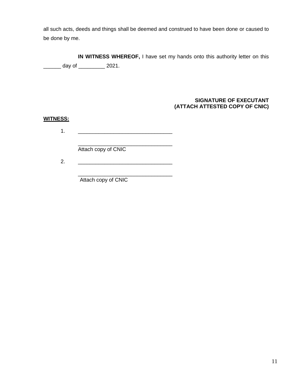all such acts, deeds and things shall be deemed and construed to have been done or caused to be done by me.

**IN WITNESS WHEREOF,** I have set my hands onto this authority letter on this \_\_\_\_\_\_ day of \_\_\_\_\_\_\_\_\_ 2021.

### **SIGNATURE OF EXECUTANT (ATTACH ATTESTED COPY OF CNIC)**

# **WITNESS:**

 $1.$ 

\_\_\_\_\_\_\_\_\_\_\_\_\_\_\_\_\_\_\_\_\_\_\_\_\_\_\_\_\_\_\_\_ Attach copy of CNIC

2. \_\_\_\_\_\_\_\_\_\_\_\_\_\_\_\_\_\_\_\_\_\_\_\_\_\_\_\_\_\_\_\_

\_\_\_\_\_\_\_\_\_\_\_\_\_\_\_\_\_\_\_\_\_\_\_\_\_\_\_\_\_\_\_\_ Attach copy of CNIC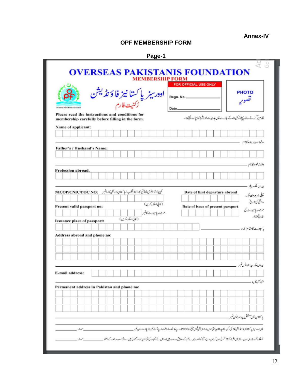# **Annex-IV**

# **OPF MEMBERSHIP FORM**

| L<br>r |  |
|--------|--|
|--------|--|

|                                                                                                     |                  | <b>MEMBERSHIP FORM</b>                                             |           | FOR OFFICIAL USE ONLY             |                                                                   |                  |
|-----------------------------------------------------------------------------------------------------|------------------|--------------------------------------------------------------------|-----------|-----------------------------------|-------------------------------------------------------------------|------------------|
|                                                                                                     |                  | اوورسيز پاکستا نيز فا ؤ نڈيشن<br><sub>ئرکنیت</sub> <sub>فارم</sub> | Rean, No. |                                   | <b>PHOTO</b><br>تصوير                                             |                  |
| Oversnax Pakistonia Foundation                                                                      |                  |                                                                    | Date      |                                   |                                                                   |                  |
| Please read the instructions and conditions for<br>membership carefully before filling in the form. |                  |                                                                    |           |                                   | فارم پر کرنے سے پہلے زکتیت کے بارے میں ہدایات اورشرائط پڑھ کیتے:۔ |                  |
| Name of applicant:                                                                                  |                  |                                                                    |           |                                   |                                                                   |                  |
|                                                                                                     |                  |                                                                    |           |                                   |                                                                   |                  |
|                                                                                                     |                  |                                                                    |           |                                   | درخواست وبهنده كأنام                                              |                  |
| <b>Father's / Husband's Name:</b>                                                                   |                  |                                                                    |           |                                   |                                                                   |                  |
|                                                                                                     |                  |                                                                    |           |                                   |                                                                   |                  |
|                                                                                                     |                  |                                                                    |           |                                   |                                                                   | والداخوركانام    |
| Profession abroad.                                                                                  |                  |                                                                    |           |                                   |                                                                   |                  |
|                                                                                                     |                  |                                                                    |           |                                   |                                                                   |                  |
|                                                                                                     |                  |                                                                    |           |                                   |                                                                   | بیرون ملک پیشہ - |
| كېيىن ئۇلاقومى شاخى كارۋانا ئىگەپە ل <sub>ىل</sub> اكستان اوريتى كارۋنبىر       NICOP/CNIC/POC NO:  |                  |                                                                    |           | Date of first departure abroad    |                                                                   |                  |
|                                                                                                     |                  |                                                                    |           |                                   | پیلی بار میرون ملک                                                |                  |
| Present valid passport no:                                                                          |                  | (كاني نسلك كرين)                                                   |           | Date of issue of present passport |                                                                   | رواقلى كى تاريخ  |
|                                                                                                     |                  | موجوده ياسيورث كالنبر                                              |           |                                   | موجود وماسيورث کی                                                 |                  |
| <b>Issuance place of passport:</b>                                                                  | (كالي نسلك كرين) |                                                                    |           |                                   |                                                                   | 1216.5           |
|                                                                                                     |                  |                                                                    |           |                                   | باسيورث كامقام اجراء                                              |                  |
| Address abroad and phone no:                                                                        |                  |                                                                    |           |                                   |                                                                   |                  |
|                                                                                                     |                  |                                                                    |           |                                   |                                                                   |                  |
|                                                                                                     |                  |                                                                    |           |                                   |                                                                   |                  |
|                                                                                                     |                  |                                                                    |           |                                   |                                                                   |                  |
|                                                                                                     |                  |                                                                    |           |                                   |                                                                   |                  |
|                                                                                                     |                  |                                                                    |           |                                   | بیرون ملک پیداورفون <i>نمبر</i>                                   |                  |
|                                                                                                     |                  |                                                                    |           |                                   |                                                                   |                  |
| <b>E-mail address:</b>                                                                              |                  |                                                                    |           |                                   |                                                                   |                  |
|                                                                                                     |                  |                                                                    |           |                                   |                                                                   | اقباسك كابيط     |
|                                                                                                     |                  |                                                                    |           |                                   |                                                                   |                  |
| Permanent address in Pakistan and phone no:                                                         |                  |                                                                    |           |                                   |                                                                   |                  |
|                                                                                                     |                  |                                                                    |           |                                   |                                                                   |                  |
|                                                                                                     |                  |                                                                    |           |                                   |                                                                   |                  |
|                                                                                                     |                  |                                                                    |           |                                   |                                                                   |                  |
|                                                                                                     |                  |                                                                    |           |                                   | باكتتان مين مستقل يبة اورفون نمبر .                               |                  |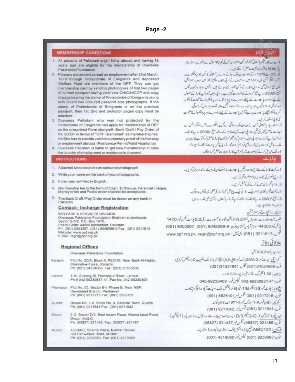## **Page -2**

#### **MEMBERSHIP CONDITIONS**

- 1. All persons of Pakistani origin living abroad and having 18 years age are eligible for the membership of Overseas Pakistanis Foundation.
- 2. Persons proceeded abroad on employment after 23rd March, 1979 through Protectorate of Emigrants and deposited Welfare Fund are members of the OPF. They can get membership card by sending photocopies of first two pages of current passport having valid visa CNIC/NICOP and copy of page bearing the stamp of Protectorate of Emigrants along with recent two coloured passport size photographs. If the stamp of Protectorate of Emigrants is on the previous passport, then 1st, 2nd and protector pages copy must be attached
- 3. Overseas Pakistani who was not protected by the Protectorate of Emigrants can apply for membership of OPF on the prescribed Form alongwith Bank Draft / Pay Order of Rs. 2000/- in favour of "OPF Islamabad" as membership fee. He/She has to provide valid documentary proof of his/her stay or employment abroad. (Residence Permit/Valid Visa/Iqma)
- 4. Overseas Pakistani is liable to get new membership in case the country of employment or residence is changed.

#### **INSTRUCTIONS**

- 1. Attached two passport size coloured photograph
- Write your name on the back of your photographs.  $\overline{2}$
- Form may be Filled in English. 3.
- Membership fee in the form of Cash, \$ Cheque, Personal cheque, 4. Money order and Postal order shall not be acceptable.
- The Bank Draft / Pay Order must be drawn on any bank in Pakistan

#### **Contact:- Incharge Registration**

WELFARE & SERVICES DIVISION Overseas Pakistanis Foundation Shahrah-e-Jamhuriat, Sector G-5/2, P.O. Box 1470. Postal Code: 44000 Islamabad, Pakistan. Ph: (051) 9203267, (051) 9048288-9 Fax: (051) 9211613 Website: www.opf.org.pk E-mail: regn@opf.org.pk

#### **Regional Offices**

Overseas Pakistanis Foundation

- Plot No. 20/A, Block 6, PECHS, Near Bank Al-Habib, Karachi: Shahrah-e-Faisal, Karachi. Ph: (021) 34534868. Fax: (021) 35160802
- Lahore 1-M, Gulberg-III, Ferozepur Road, Lahore Ph # 042-99230837-41, Fax No. 042-99230409
- Peshawar: Plot No. 33, Sector B-I, Phase B, Near NBP, Hayatabad Branch, Peshawar Ph: (091) 9217215 Fax: (091) 5828101
- House No. 1-A, Block No. 4, Satellite Town, Quetta. Quetta Ph: (081) 9211641 Fax: (081) 9211642
- Mirpur 2-G, Sector D/3, East Issam Plaza, Allama Igbal Road, Mirpur (AJ&K) Ph: (05827) 921485, Fax: (05827) 921487
- 123/ABC, Shama Plaza; Nishtar Chowk, Multan Old Bahwalpur Road, Multan Ph: (061) 9239060, Fax: (061) 4519060

1. بروان ملك يقيم باكستاني نزادخوا تين وهفرات جن كى فحر 18 سال ہے لائدے ۔اوأوسنر باكستانيز فأؤث يكن كى ركنيت حاصل كرسكتة من-22 ـ 23 ـ 1979 ، كے بعد برون ملك جانے والے باكستانى كاركن جو برولكوريت آف ایمیکر انٹس میں رجنٹر ڈیس اورانہوں نے اولی الا یا ویلفیئر فنڈ میں مروجہ رجنٹر یشن فیس جع کردائی تھی دواد ٹی اپنے کے زکن تفور کیے جاتے ہیں۔ اُنہیں دوبارہ زکنیت فیس میلغ ،2000 روسے پیغ کر دانے کی ضرورت کیں ہے۔ اولی الف کمبرٹ کارڈ کے حصول کے موجودہ یا ہورٹ کے پیلے،دوسرے،دین دانا قامہ اور پرونکلز والے مخات کی نقول بمعد شاختی کارڈا تا نکیرب اور ماسپورٹ سائز ووعد درنگھین حالیہ تعداویرارسال کرنا ہوگی۔ اکر پرونیکٹر پچھلے یا سپورٹ پر ہے تو اس یا سپورٹ کے پہلے، ڈوسرے اور پرونیکٹر والے صفحات كى كالى ضلك كرى-3۔ سندریار پاکستانی جس نے بیرون ملک روا گی سے قبل پُروکیکر ریٹ آف ایمیکر انٹس سے اجازت حاصل نہیں کی تھی وہ او پی ایف رکنیت فارس کے ساتھ میل ۔/2000 روپے کا بنک ڈ رافٹ اپنے آرڈ رینام اوٹی ایف اسلام آباد بھجوا کرزکنیت کارڈ حاصل کرسکتا ہے نیز میرون ملك ربائش كادستاديز فى ثبوت بحى فراجع كرنابوكا \_ (ريذيش برمث لاقاسه اديزه)

4۔ ملک تبدیل کرنے کی صورت میں کمبرشپ کارڈ ووبارہ حاصل کرتا ہوگا۔

1 ۔ رکنیٹ کارڈ کے لئے اتلی دوعد درکھیں یا سپورٹ سائز تصاویر فارم کے ساتھ ارسال کریں۔ 2. ما فى تصوير كى يَشف براينانام بقرورتج بركري-3. قارم انگرېزى مېر يا كەن كەن كۈنش كريں۔ 4\_زكنيت فيس نفذى، ذاكر چيك، ذاتي چيك\يونل مني آرڈ ركى تشكل ميں قبول نہ ہوگی۔ 5-میللی ،2000روپے کا بنک ڈرافٹ اپنے رڈر پاکستان کے کمی بھی سے می واجب الاواجونا مياسك. رابطہ:۔انحارج رجٹریشن شعبه بهبودوخدمات اودرسز پاکستانیز فاؤخذ یشن شاهراو جمهوریت، حی 5/2 پوسٹ تکس نمبر 1470

بوشكركوز 440001 سام آباد باكستان فون: 9-88288 (051) ,17 9203267 (051) فیکس: 11613 (051) مال کتل: www.opf.org.pk, regn@opf.org.pk

### علاقاتي دفاتر

اوور سيزيا كتتانيز فاؤنثه ليثن کراچی: یلاث نمبر20/A-2) پلاک نمبر 6 پی ای ی انچ ایس نزدیک الحبیب شاہراہ فیصل کراچی  $(021)34534841$   $\sqrt{2}$   $(021)34534868$   $\sqrt{2}$ لا ہور: M-1-N گلبرگ-III، فیروز پورروڈ،انا ہور۔ فون: 41-042-99230837 فيكس قبر 042-99230409 نشاور: پل پی نمبر 33 بینکر 1/B بفیر B،نزڈ پیشل بنک،حیات آباد برانچ ،پشاور۔ نون: 9217215 (091) فَيْس نِسِر1015 (091) 1928) كوكيند: مكان نبسر A-4، بلاك نبسر 4، سينلا تت ناؤن كوكنه فون: 9211641 (081) فَيَكْسِ فِسِرِ 9211642 (081) ميريور ( آزادشير): Q-2 ميكتر D/3 ،ايب عصام يلازه ،علامه اقبال روذ ، ميريور ( آزادشير ) فون: 921485 (05827) فَكِس نِسر 1487 (05827) ماتمان: ABC/123 بثبع یادزه،نشتر چوک ،اولڈ بہاولپورروڈ ،ماتان۔ فون: 9239060 (061) فَيَكْسِ فَبِرِ 4519060 (061)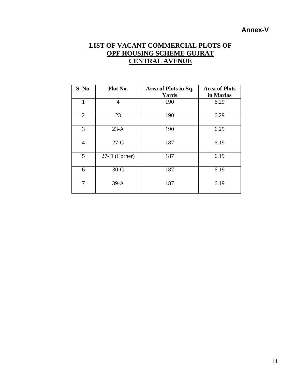# **Annex-V**

# **LIST OF VACANT COMMERCIAL PLOTS OF OPF HOUSING SCHEME GUJRAT CENTRAL AVENUE**

| S. No.         | Plot No.       | Area of Plots in Sq.<br>Yards | <b>Area of Plots</b><br>in Marlas |
|----------------|----------------|-------------------------------|-----------------------------------|
| 1              | $\overline{4}$ | 190                           | 6.29                              |
| $\overline{2}$ | 23             | 190                           | 6.29                              |
| 3              | $23-A$         | 190                           | 6.29                              |
| $\overline{4}$ | $27-C$         | 187                           | 6.19                              |
| 5              | 27-D (Corner)  | 187                           | 6.19                              |
| 6              | $30-C$         | 187                           | 6.19                              |
| 7              | $39-A$         | 187                           | 6.19                              |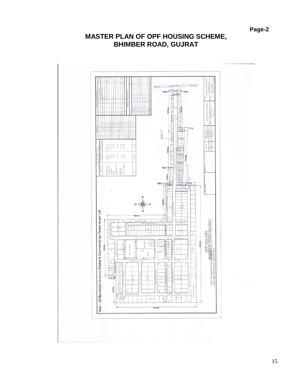# **MASTER PLAN OF OPF HOUSING SCHEME, BHIMBER ROAD, GUJRAT**

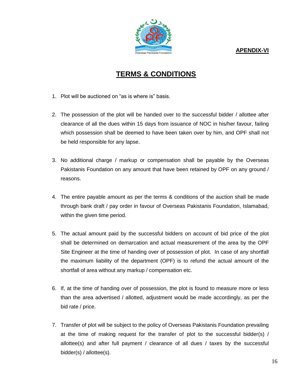**APENDIX-VI**



# **TERMS & CONDITIONS**

- 1. Plot will be auctioned on "as is where is" basis.
- 2. The possession of the plot will be handed over to the successful bidder / allottee after clearance of all the dues within 15 days from issuance of NOC in his/her favour, failing which possession shall be deemed to have been taken over by him, and OPF shall not be held responsible for any lapse.
- 3. No additional charge / markup or compensation shall be payable by the Overseas Pakistanis Foundation on any amount that have been retained by OPF on any ground / reasons.
- 4. The entire payable amount as per the terms & conditions of the auction shall be made through bank draft / pay order in favour of Overseas Pakistanis Foundation, Islamabad, within the given time period.
- 5. The actual amount paid by the successful bidders on account of bid price of the plot shall be determined on demarcation and actual measurement of the area by the OPF Site Engineer at the time of handing over of possession of plot. In case of any shortfall the maximum liability of the department (OPF) is to refund the actual amount of the shortfall of area without any markup / compensation etc.
- 6. If, at the time of handing over of possession, the plot is found to measure more or less than the area advertised / allotted, adjustment would be made accordingly, as per the bid rate / price.
- 7. Transfer of plot will be subject to the policy of Overseas Pakistanis Foundation prevailing at the time of making request for the transfer of plot to the successful bidder(s) / allottee(s) and after full payment / clearance of all dues / taxes by the successful bidder(s) / allottee(s).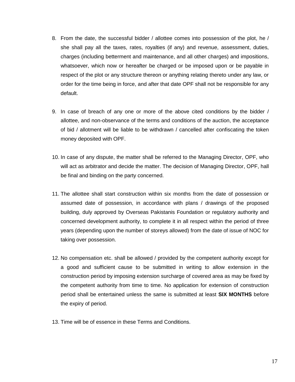- 8. From the date, the successful bidder / allottee comes into possession of the plot, he / she shall pay all the taxes, rates, royalties (if any) and revenue, assessment, duties, charges (including betterment and maintenance, and all other charges) and impositions, whatsoever, which now or hereafter be charged or be imposed upon or be payable in respect of the plot or any structure thereon or anything relating thereto under any law, or order for the time being in force, and after that date OPF shall not be responsible for any default.
- 9. In case of breach of any one or more of the above cited conditions by the bidder / allottee, and non-observance of the terms and conditions of the auction, the acceptance of bid / allotment will be liable to be withdrawn / cancelled after confiscating the token money deposited with OPF.
- 10. In case of any dispute, the matter shall be referred to the Managing Director, OPF, who will act as arbitrator and decide the matter. The decision of Managing Director, OPF, hall be final and binding on the party concerned.
- 11. The allottee shall start construction within six months from the date of possession or assumed date of possession, in accordance with plans / drawings of the proposed building, duly approved by Overseas Pakistanis Foundation or regulatory authority and concerned development authority, to complete it in all respect within the period of three years (depending upon the number of storeys allowed) from the date of issue of NOC for taking over possession.
- 12. No compensation etc. shall be allowed / provided by the competent authority except for a good and sufficient cause to be submitted in writing to allow extension in the construction period by imposing extension surcharge of covered area as may be fixed by the competent authority from time to time. No application for extension of construction period shall be entertained unless the same is submitted at least **SIX MONTHS** before the expiry of period.
- 13. Time will be of essence in these Terms and Conditions.